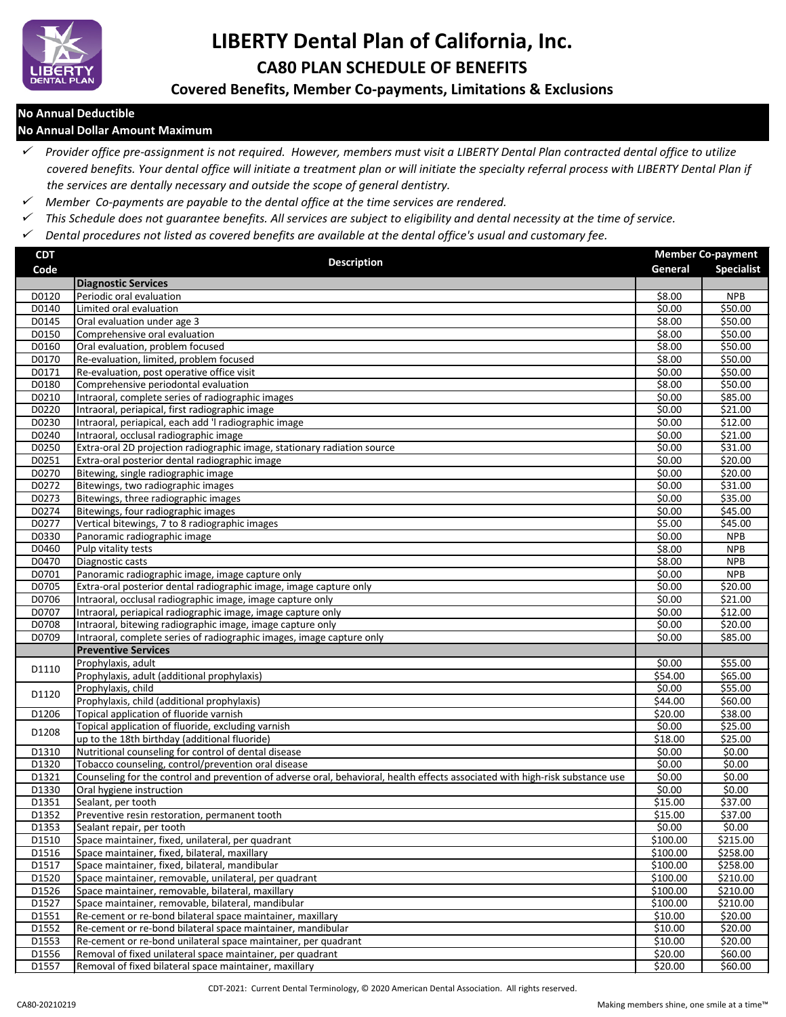

# **LIBERTY Dental Plan of California, Inc. CA80 PLAN SCHEDULE OF BENEFITS**

## **Covered Benefits, Member Co-payments, Limitations & Exclusions**

#### **No Annual Deductible**

#### **No Annual Dollar Amount Maximum**

 *Provider office pre-assignment is not required. However, members must visit a LIBERTY Dental Plan contracted dental office to utilize covered benefits. Your dental office will initiate a treatment plan or will initiate the specialty referral process with LIBERTY Dental Plan if the services are dentally necessary and outside the scope of general dentistry.*

- *Member Co-payments are payable to the dental office at the time services are rendered.*
- *This Schedule does not guarantee benefits. All services are subject to eligibility and dental necessity at the time of service.*
- *Dental procedures not listed as covered benefits are available at the dental office's usual and customary fee.*

| <b>CDT</b> | <b>Description</b>                                                                                                            |          | <b>Member Co-payment</b> |  |
|------------|-------------------------------------------------------------------------------------------------------------------------------|----------|--------------------------|--|
| Code       |                                                                                                                               | General  | <b>Specialist</b>        |  |
|            | <b>Diagnostic Services</b>                                                                                                    |          |                          |  |
| D0120      | Periodic oral evaluation                                                                                                      | \$8.00   | <b>NPB</b>               |  |
| D0140      | Limited oral evaluation                                                                                                       | \$0.00   | \$50.00                  |  |
| D0145      | Oral evaluation under age 3                                                                                                   | \$8.00   | \$50.00                  |  |
| D0150      | Comprehensive oral evaluation                                                                                                 | \$8.00   | \$50.00                  |  |
| D0160      | Oral evaluation, problem focused                                                                                              | \$8.00   | \$50.00                  |  |
| D0170      | Re-evaluation, limited, problem focused                                                                                       | \$8.00   | \$50.00                  |  |
| D0171      | Re-evaluation, post operative office visit                                                                                    | \$0.00   | \$50.00                  |  |
| D0180      | Comprehensive periodontal evaluation                                                                                          | \$8.00   | \$50.00                  |  |
| D0210      | Intraoral, complete series of radiographic images                                                                             | \$0.00   | \$85.00                  |  |
| D0220      | Intraoral, periapical, first radiographic image                                                                               | \$0.00   | \$21.00                  |  |
| D0230      | Intraoral, periapical, each add 'I radiographic image                                                                         | \$0.00   | \$12.00                  |  |
| D0240      | Intraoral, occlusal radiographic image                                                                                        | \$0.00   | \$21.00                  |  |
| D0250      | Extra-oral 2D projection radiographic image, stationary radiation source                                                      | \$0.00   | \$31.00                  |  |
| D0251      | Extra-oral posterior dental radiographic image                                                                                | \$0.00   | \$20.00                  |  |
| D0270      | Bitewing, single radiographic image                                                                                           | \$0.00   | \$20.00                  |  |
| D0272      | Bitewings, two radiographic images                                                                                            | \$0.00   | \$31.00                  |  |
| D0273      | Bitewings, three radiographic images                                                                                          | \$0.00   | \$35.00                  |  |
| D0274      | Bitewings, four radiographic images                                                                                           | \$0.00   | \$45.00                  |  |
| D0277      | Vertical bitewings, 7 to 8 radiographic images                                                                                | \$5.00   | \$45.00                  |  |
| D0330      | Panoramic radiographic image                                                                                                  | \$0.00   | <b>NPB</b>               |  |
| D0460      | Pulp vitality tests                                                                                                           | \$8.00   | <b>NPB</b>               |  |
| D0470      | Diagnostic casts                                                                                                              | \$8.00   | <b>NPB</b>               |  |
| D0701      | Panoramic radiographic image, image capture only                                                                              | \$0.00   | <b>NPB</b>               |  |
| D0705      | Extra-oral posterior dental radiographic image, image capture only                                                            | \$0.00   | \$20.00                  |  |
| D0706      | Intraoral, occlusal radiographic image, image capture only                                                                    | \$0.00   | \$21.00                  |  |
| D0707      | Intraoral, periapical radiographic image, image capture only                                                                  | \$0.00   | \$12.00                  |  |
| D0708      | Intraoral, bitewing radiographic image, image capture only                                                                    | \$0.00   | \$20.00                  |  |
| D0709      | Intraoral, complete series of radiographic images, image capture only                                                         | \$0.00   | \$85.00                  |  |
|            | <b>Preventive Services</b>                                                                                                    |          |                          |  |
| D1110      | Prophylaxis, adult                                                                                                            | \$0.00   | \$55.00                  |  |
|            | Prophylaxis, adult (additional prophylaxis)                                                                                   | 554.00   | \$65.00                  |  |
| D1120      | Prophylaxis, child                                                                                                            | \$0.00   | \$55.00                  |  |
|            | Prophylaxis, child (additional prophylaxis)                                                                                   | \$44.00  | \$60.00                  |  |
| D1206      | Topical application of fluoride varnish                                                                                       | \$20.00  | \$38.00                  |  |
| D1208      | Topical application of fluoride, excluding varnish                                                                            | \$0.00   | \$25.00                  |  |
|            | up to the 18th birthday (additional fluoride)                                                                                 | \$18.00  | \$25.00                  |  |
| D1310      | Nutritional counseling for control of dental disease                                                                          | \$0.00   | \$0.00                   |  |
| D1320      | Tobacco counseling, control/prevention oral disease                                                                           | \$0.00   | \$0.00                   |  |
| D1321      | Counseling for the control and prevention of adverse oral, behavioral, health effects associated with high-risk substance use | \$0.00   | \$0.00                   |  |
| D1330      | Oral hygiene instruction                                                                                                      | \$0.00   | \$0.00                   |  |
| D1351      | Sealant, per tooth                                                                                                            | \$15.00  | \$37.00                  |  |
| D1352      | Preventive resin restoration, permanent tooth                                                                                 | \$15.00  | \$37.00                  |  |
| D1353      | Sealant repair, per tooth                                                                                                     | \$0.00   | \$0.00                   |  |
| D1510      | Space maintainer, fixed, unilateral, per quadrant                                                                             | \$100.00 | \$215.00                 |  |
| D1516      | Space maintainer, fixed, bilateral, maxillary                                                                                 | \$100.00 | \$258.00                 |  |
| D1517      | Space maintainer, fixed, bilateral, mandibular                                                                                | \$100.00 | \$258.00                 |  |
| D1520      | Space maintainer, removable, unilateral, per quadrant                                                                         | \$100.00 | \$210.00                 |  |
| D1526      | Space maintainer, removable, bilateral, maxillary                                                                             | \$100.00 | \$210.00                 |  |
| D1527      | Space maintainer, removable, bilateral, mandibular                                                                            | \$100.00 | \$210.00                 |  |
| D1551      | Re-cement or re-bond bilateral space maintainer, maxillary                                                                    | \$10.00  | \$20.00                  |  |
| D1552      | Re-cement or re-bond bilateral space maintainer, mandibular                                                                   | \$10.00  | \$20.00                  |  |
| D1553      | Re-cement or re-bond unilateral space maintainer, per quadrant                                                                | \$10.00  | \$20.00                  |  |
| D1556      | Removal of fixed unilateral space maintainer, per quadrant                                                                    | \$20.00  | \$60.00                  |  |
| D1557      | Removal of fixed bilateral space maintainer, maxillary                                                                        | \$20.00  | \$60.00                  |  |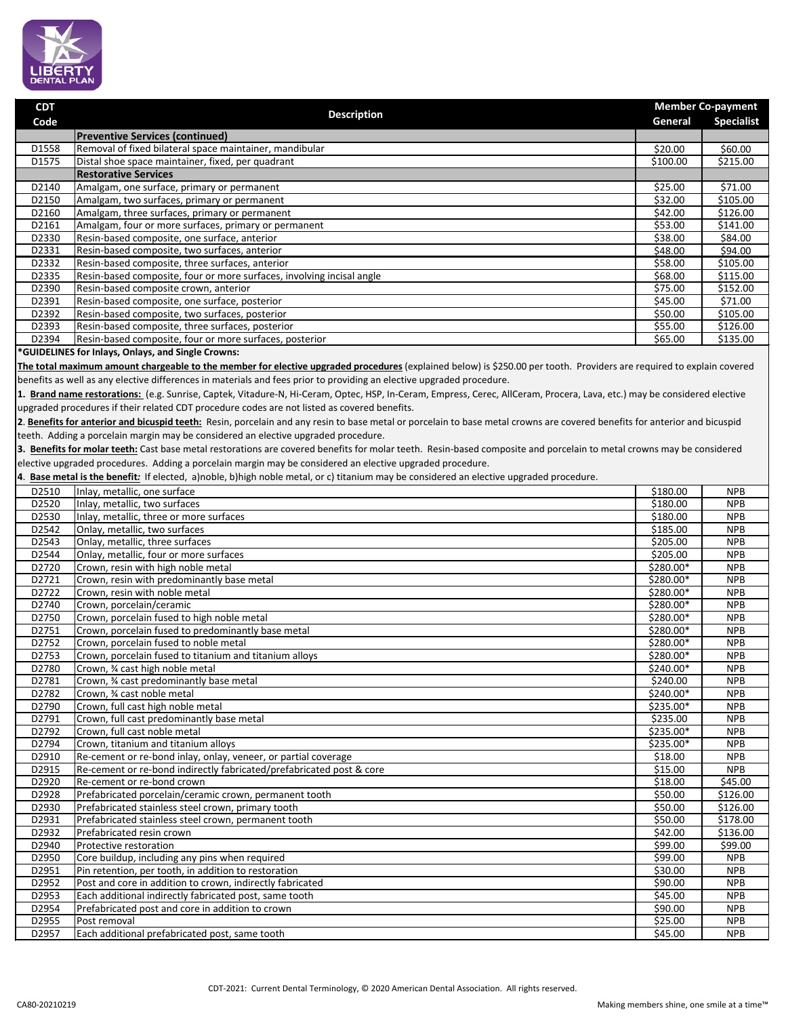

| <b>CDT</b>     |                                                                                                                                                                            |                                  | <b>Member Co-payment</b> |  |
|----------------|----------------------------------------------------------------------------------------------------------------------------------------------------------------------------|----------------------------------|--------------------------|--|
| Code           | <b>Description</b>                                                                                                                                                         | General                          | <b>Specialist</b>        |  |
|                | <b>Preventive Services (continued)</b>                                                                                                                                     |                                  |                          |  |
| D1558          | Removal of fixed bilateral space maintainer, mandibular                                                                                                                    | \$20.00                          | \$60.00                  |  |
| D1575          | Distal shoe space maintainer, fixed, per quadrant                                                                                                                          | \$100.00                         | \$215.00                 |  |
|                | <b>Restorative Services</b>                                                                                                                                                |                                  |                          |  |
| D2140          | Amalgam, one surface, primary or permanent                                                                                                                                 | \$25.00                          | \$71.00                  |  |
| D2150          | Amalgam, two surfaces, primary or permanent                                                                                                                                | \$32.00                          | \$105.00                 |  |
| D2160<br>D2161 | Amalgam, three surfaces, primary or permanent<br>Amalgam, four or more surfaces, primary or permanent                                                                      | \$42.00<br>\$53.00               | \$126.00<br>\$141.00     |  |
| D2330          | Resin-based composite, one surface, anterior                                                                                                                               | \$38.00                          | \$84.00                  |  |
| D2331          | Resin-based composite, two surfaces, anterior                                                                                                                              | \$48.00                          | \$94.00                  |  |
| D2332          | Resin-based composite, three surfaces, anterior                                                                                                                            | \$58.00                          | \$105.00                 |  |
| D2335          | Resin-based composite, four or more surfaces, involving incisal angle                                                                                                      | \$68.00                          | \$115.00                 |  |
| D2390          | Resin-based composite crown, anterior                                                                                                                                      | \$75.00                          | \$152.00                 |  |
| D2391          | Resin-based composite, one surface, posterior                                                                                                                              | \$45.00                          | \$71.00                  |  |
| D2392          | Resin-based composite, two surfaces, posterior                                                                                                                             | \$50.00                          | \$105.00                 |  |
| D2393          | Resin-based composite, three surfaces, posterior                                                                                                                           | \$55.00                          | \$126.00                 |  |
| D2394          | Resin-based composite, four or more surfaces, posterior                                                                                                                    | \$65.00                          | \$135.00                 |  |
|                | *GUIDELINES for Inlays, Onlays, and Single Crowns:                                                                                                                         |                                  |                          |  |
|                | The total maximum amount chargeable to the member for elective upgraded procedures (explained below) is \$250.00 per tooth. Providers are required to explain covered      |                                  |                          |  |
|                | benefits as well as any elective differences in materials and fees prior to providing an elective upgraded procedure.                                                      |                                  |                          |  |
|                | 1. Brand name restorations: (e.g. Sunrise, Captek, Vitadure-N, Hi-Ceram, Optec, HSP, In-Ceram, Empress, Cerec, AllCeram, Procera, Lava, etc.) may be considered elective   |                                  |                          |  |
|                | upgraded procedures if their related CDT procedure codes are not listed as covered benefits.                                                                               |                                  |                          |  |
|                | 2. Benefits for anterior and bicuspid teeth: Resin, porcelain and any resin to base metal or porcelain to base metal crowns are covered benefits for anterior and bicuspid |                                  |                          |  |
|                | teeth. Adding a porcelain margin may be considered an elective upgraded procedure.                                                                                         |                                  |                          |  |
|                | 3. Benefits for molar teeth: Cast base metal restorations are covered benefits for molar teeth. Resin-based composite and porcelain to metal crowns may be considered      |                                  |                          |  |
|                | elective upgraded procedures. Adding a porcelain margin may be considered an elective upgraded procedure.                                                                  |                                  |                          |  |
| 4.             | Base metal is the benefit: If elected, a)noble, b)high noble metal, or c) titanium may be considered an elective upgraded procedure.                                       |                                  |                          |  |
| D2510          | Inlay, metallic, one surface                                                                                                                                               | \$180.00                         | <b>NPB</b>               |  |
| D2520          | Inlay, metallic, two surfaces                                                                                                                                              | \$180.00                         | <b>NPB</b>               |  |
| D2530          | Inlay, metallic, three or more surfaces                                                                                                                                    | \$180.00                         | <b>NPB</b>               |  |
| D2542          | Onlay, metallic, two surfaces                                                                                                                                              | \$185.00                         | <b>NPB</b>               |  |
| D2543<br>D2544 | Onlay, metallic, three surfaces<br>Onlay, metallic, four or more surfaces                                                                                                  | \$205.00<br>$\overline{$}205.00$ | <b>NPB</b><br><b>NPB</b> |  |
| D2720          | Crown, resin with high noble metal                                                                                                                                         | \$280.00*                        | <b>NPB</b>               |  |
| D2721          | Crown, resin with predominantly base metal                                                                                                                                 | \$280.00*                        | <b>NPB</b>               |  |
| D2722          | Crown, resin with noble metal                                                                                                                                              | \$280.00*                        | <b>NPB</b>               |  |
| D2740          | Crown, porcelain/ceramic                                                                                                                                                   | \$280.00*                        | <b>NPB</b>               |  |
| D2750          | Crown, porcelain fused to high noble metal                                                                                                                                 | \$280.00*                        | <b>NPB</b>               |  |
| D2751          | Crown, porcelain fused to predominantly base metal                                                                                                                         | $\overline{$}280.00*$            | <b>NPB</b>               |  |
| D2752          | Crown, porcelain fused to noble metal                                                                                                                                      | $$280.00*$                       | <b>NPB</b>               |  |
| D2753          | Crown, porcelain fused to titanium and titanium alloys                                                                                                                     | \$280.00*                        | <b>NPB</b>               |  |
| D2780          | Crown, 3⁄4 cast high noble metal                                                                                                                                           | \$240.00*                        | <b>NPB</b>               |  |
| D2781          | Crown, % cast predominantly base metal                                                                                                                                     | \$240.00                         | <b>NPB</b>               |  |
| D2782<br>D2790 | Crown, 3⁄4 cast noble metal<br>Crown, full cast high noble metal                                                                                                           | \$240.00*<br>\$235.00*           | <b>NPB</b><br><b>NPB</b> |  |
| D2791          | Crown, full cast predominantly base metal                                                                                                                                  | \$235.00                         | <b>NPB</b>               |  |
| D2792          | Crown, full cast noble metal                                                                                                                                               | \$235.00*                        | <b>NPB</b>               |  |
| D2794          | Crown, titanium and titanium alloys                                                                                                                                        | \$235.00*                        | <b>NPB</b>               |  |
| D2910          | Re-cement or re-bond inlay, onlay, veneer, or partial coverage                                                                                                             | \$18.00                          | <b>NPB</b>               |  |
| D2915          | Re-cement or re-bond indirectly fabricated/prefabricated post & core                                                                                                       | \$15.00                          | <b>NPB</b>               |  |
| D2920          | Re-cement or re-bond crown                                                                                                                                                 | \$18.00                          | \$45.00                  |  |
| D2928          | Prefabricated porcelain/ceramic crown, permanent tooth                                                                                                                     | \$50.00                          | \$126.00                 |  |
| D2930          | Prefabricated stainless steel crown, primary tooth                                                                                                                         | \$50.00                          | \$126.00                 |  |
| D2931          | Prefabricated stainless steel crown, permanent tooth                                                                                                                       | \$50.00                          | \$178.00                 |  |
| D2932          | Prefabricated resin crown                                                                                                                                                  | \$42.00                          | \$136.00                 |  |
| D2940          | Protective restoration                                                                                                                                                     | \$99.00                          | \$99.00                  |  |
| D2950          | Core buildup, including any pins when required                                                                                                                             | \$99.00                          | <b>NPB</b>               |  |
| D2951<br>D2952 | Pin retention, per tooth, in addition to restoration                                                                                                                       | \$30.00                          | <b>NPB</b>               |  |
| D2953          | Post and core in addition to crown, indirectly fabricated<br>Each additional indirectly fabricated post, same tooth                                                        | \$90.00<br>\$45.00               | <b>NPB</b><br><b>NPB</b> |  |
| D2954          | Prefabricated post and core in addition to crown                                                                                                                           | \$90.00                          | <b>NPB</b>               |  |
| D2955          | Post removal                                                                                                                                                               | \$25.00                          | <b>NPB</b>               |  |
| D2957          | Each additional prefabricated post, same tooth                                                                                                                             | \$45.00                          | <b>NPB</b>               |  |
|                |                                                                                                                                                                            |                                  |                          |  |
|                |                                                                                                                                                                            |                                  |                          |  |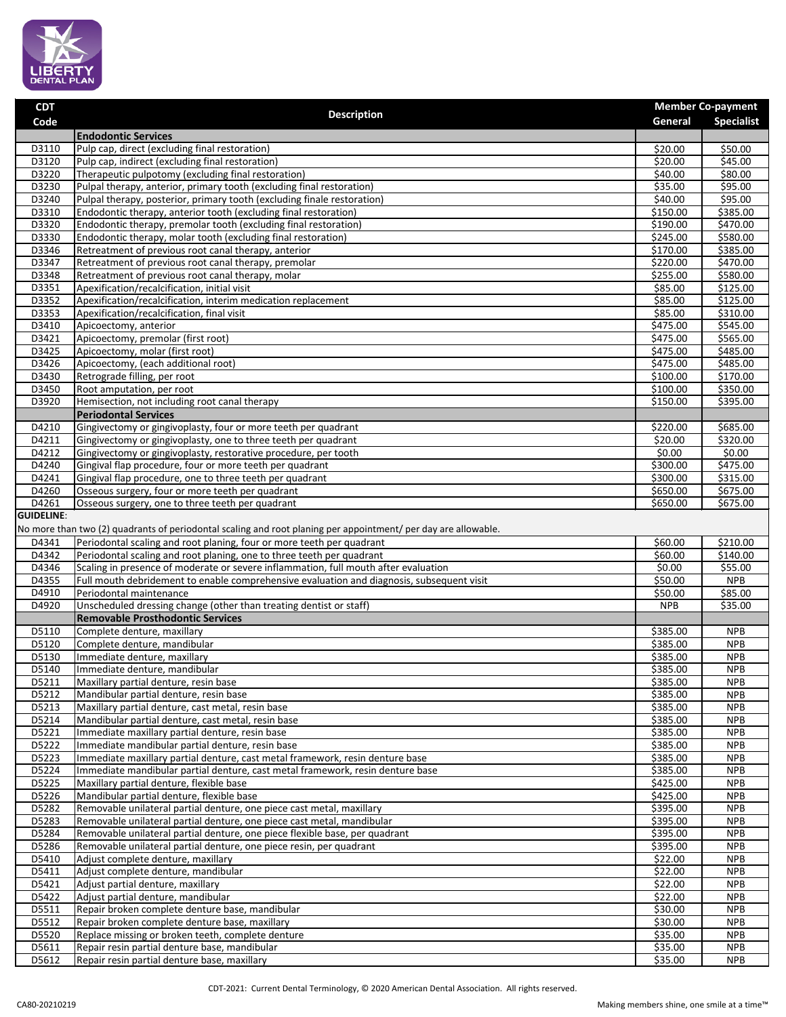

| <b>CDT</b>        | <b>Description</b>                                                                                                                |                                 | <b>Member Co-payment</b> |
|-------------------|-----------------------------------------------------------------------------------------------------------------------------------|---------------------------------|--------------------------|
| Code              |                                                                                                                                   | General                         | <b>Specialist</b>        |
| D3110             | <b>Endodontic Services</b><br>Pulp cap, direct (excluding final restoration)                                                      | \$20.00                         | \$50.00                  |
| D3120             | Pulp cap, indirect (excluding final restoration)                                                                                  | \$20.00                         | \$45.00                  |
| D3220             | Therapeutic pulpotomy (excluding final restoration)                                                                               | \$40.00                         | \$80.00                  |
| D3230             | Pulpal therapy, anterior, primary tooth (excluding final restoration)                                                             | \$35.00                         | \$95.00                  |
| D3240             | Pulpal therapy, posterior, primary tooth (excluding finale restoration)                                                           | \$40.00                         | \$95.00                  |
| D3310             | Endodontic therapy, anterior tooth (excluding final restoration)                                                                  | \$150.00                        | \$385.00                 |
| D3320             | Endodontic therapy, premolar tooth (excluding final restoration)                                                                  | 5190.00                         | \$470.00                 |
| D3330             | Endodontic therapy, molar tooth (excluding final restoration)                                                                     | \$245.00                        | \$580.00                 |
| D3346             | Retreatment of previous root canal therapy, anterior                                                                              | \$170.00                        | \$385.00                 |
| D3347             | Retreatment of previous root canal therapy, premolar                                                                              | \$220.00                        | \$470.00                 |
| D3348<br>D3351    | Retreatment of previous root canal therapy, molar<br>Apexification/recalcification, initial visit                                 | $\overline{$}255.00$<br>\$85.00 | \$580.00<br>\$125.00     |
| D3352             | Apexification/recalcification, interim medication replacement                                                                     | \$85.00                         | \$125.00                 |
| D3353             | Apexification/recalcification, final visit                                                                                        | \$85.00                         | \$310.00                 |
| D3410             | Apicoectomy, anterior                                                                                                             | \$475.00                        | \$545.00                 |
| D3421             | Apicoectomy, premolar (first root)                                                                                                | \$475.00                        | \$565.00                 |
| D3425             | Apicoectomy, molar (first root)                                                                                                   | \$475.00                        | \$485.00                 |
| D3426             | Apicoectomy, (each additional root)                                                                                               | \$475.00                        | \$485.00                 |
| D3430             | Retrograde filling, per root                                                                                                      | 5100.00                         | \$170.00                 |
| D3450             | Root amputation, per root                                                                                                         | \$100.00                        | \$350.00                 |
| D3920             | Hemisection, not including root canal therapy                                                                                     | \$150.00                        | \$395.00                 |
|                   | <b>Periodontal Services</b>                                                                                                       |                                 |                          |
| D4210             | Gingivectomy or gingivoplasty, four or more teeth per quadrant                                                                    | \$220.00<br>$\overline{$}20.00$ | \$685.00<br>\$320.00     |
| D4211<br>D4212    | Gingivectomy or gingivoplasty, one to three teeth per quadrant<br>Gingivectomy or gingivoplasty, restorative procedure, per tooth | $\frac{1}{50.00}$               | \$0.00                   |
| D4240             | Gingival flap procedure, four or more teeth per quadrant                                                                          | \$300.00                        | \$475.00                 |
| D4241             | Gingival flap procedure, one to three teeth per quadrant                                                                          | \$300.00                        | \$315.00                 |
| D4260             | Osseous surgery, four or more teeth per quadrant                                                                                  | \$650.00                        | \$675.00                 |
| D4261             | Osseous surgery, one to three teeth per quadrant                                                                                  | \$650.00                        | \$675.00                 |
| <b>GUIDELINE:</b> |                                                                                                                                   |                                 |                          |
|                   | No more than two (2) quadrants of periodontal scaling and root planing per appointment/ per day are allowable.                    |                                 |                          |
| D4341             | Periodontal scaling and root planing, four or more teeth per quadrant                                                             | \$60.00                         | \$210.00                 |
| D4342             | Periodontal scaling and root planing, one to three teeth per quadrant                                                             | \$60.00                         | $\overline{$}140.00$     |
| D4346             | Scaling in presence of moderate or severe inflammation, full mouth after evaluation                                               | \$0.00                          | \$55.00                  |
| D4355<br>D4910    | Full mouth debridement to enable comprehensive evaluation and diagnosis, subsequent visit<br>Periodontal maintenance              | \$50.00<br>\$50.00              | <b>NPB</b><br>\$85.00    |
| D4920             | Unscheduled dressing change (other than treating dentist or staff)                                                                | <b>NPB</b>                      | \$35.00                  |
|                   | <b>Removable Prosthodontic Services</b>                                                                                           |                                 |                          |
| D5110             | Complete denture, maxillary                                                                                                       | \$385.00                        | <b>NPB</b>               |
| D5120             | Complete denture, mandibular                                                                                                      | \$385.00                        | <b>NPB</b>               |
| D5130             | Immediate denture, maxillary                                                                                                      | \$385.00                        | <b>NPB</b>               |
| D5140             | Immediate denture, mandibular                                                                                                     | \$385.00                        | <b>NPB</b>               |
| D5211             | Maxillary partial denture, resin base                                                                                             | \$385.00                        | <b>NPB</b>               |
| D5212             | Mandibular partial denture, resin base                                                                                            | \$385.00                        | <b>NPB</b>               |
| D5213             | Maxillary partial denture, cast metal, resin base                                                                                 | \$385.00                        | <b>NPB</b>               |
| D5214<br>D5221    | Mandibular partial denture, cast metal, resin base<br>Immediate maxillary partial denture, resin base                             | \$385.00<br>\$385.00            | <b>NPB</b><br><b>NPB</b> |
| D5222             | Immediate mandibular partial denture, resin base                                                                                  | \$385.00                        | <b>NPB</b>               |
| D5223             | Immediate maxillary partial denture, cast metal framework, resin denture base                                                     | 5385.00                         | <b>NPB</b>               |
| D5224             | Immediate mandibular partial denture, cast metal framework, resin denture base                                                    | \$385.00                        | <b>NPB</b>               |
| D5225             | Maxillary partial denture, flexible base                                                                                          | \$425.00                        | <b>NPB</b>               |
| D5226             | Mandibular partial denture, flexible base                                                                                         | \$425.00                        | <b>NPB</b>               |
| D5282             | Removable unilateral partial denture, one piece cast metal, maxillary                                                             | \$395.00                        | <b>NPB</b>               |
| D5283             | Removable unilateral partial denture, one piece cast metal, mandibular                                                            | \$395.00                        | <b>NPB</b>               |
| D5284             | Removable unilateral partial denture, one piece flexible base, per quadrant                                                       | \$395.00                        | <b>NPB</b>               |
| D5286             | Removable unilateral partial denture, one piece resin, per quadrant                                                               | \$395.00                        | <b>NPB</b><br><b>NPB</b> |
| D5410<br>D5411    | Adjust complete denture, maxillary<br>Adjust complete denture, mandibular                                                         | \$22.00<br>\$22.00              | <b>NPB</b>               |
| D5421             | Adjust partial denture, maxillary                                                                                                 | \$22.00                         | <b>NPB</b>               |
| D5422             | Adjust partial denture, mandibular                                                                                                | \$22.00                         | <b>NPB</b>               |
| D5511             | Repair broken complete denture base, mandibular                                                                                   | \$30.00                         | <b>NPB</b>               |
| D5512             | Repair broken complete denture base, maxillary                                                                                    | \$30.00                         | <b>NPB</b>               |
| D5520             | Replace missing or broken teeth, complete denture                                                                                 | \$35.00                         | <b>NPB</b>               |
| D5611             | Repair resin partial denture base, mandibular                                                                                     | \$35.00                         | <b>NPB</b>               |
| D5612             | Repair resin partial denture base, maxillary                                                                                      | \$35.00                         | <b>NPB</b>               |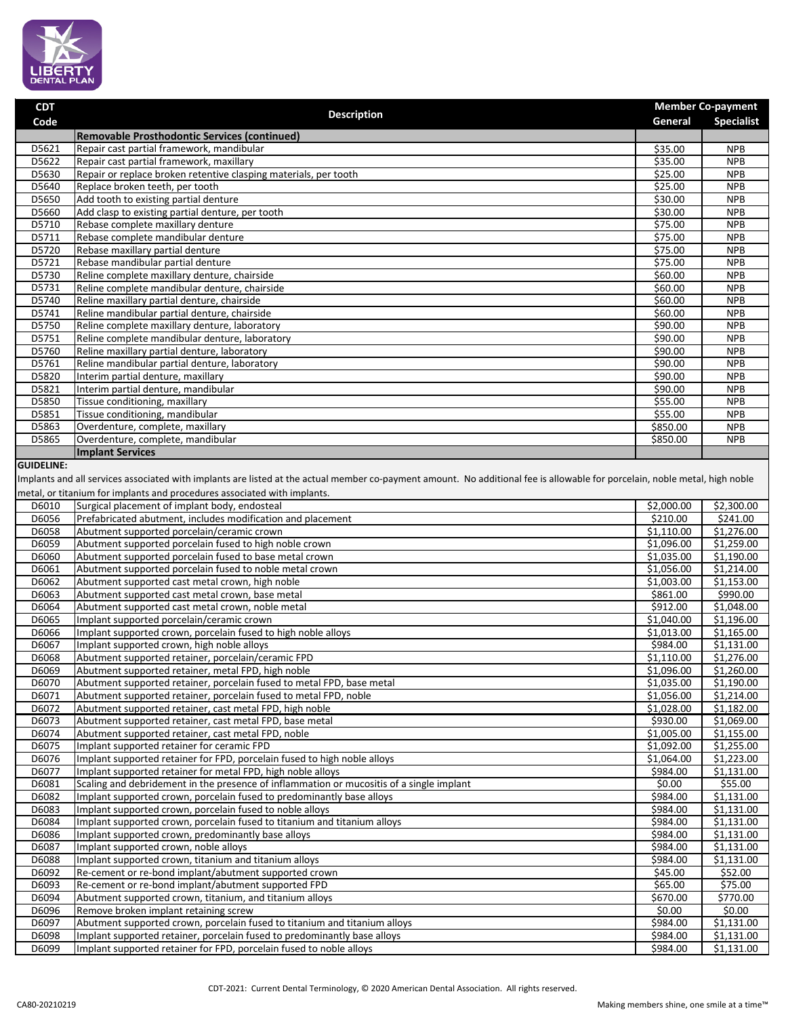

| <b>CDT</b>                                                                                                                                                                  |                                                                                                     |                     | <b>Member Co-payment</b> |  |
|-----------------------------------------------------------------------------------------------------------------------------------------------------------------------------|-----------------------------------------------------------------------------------------------------|---------------------|--------------------------|--|
| Code                                                                                                                                                                        | <b>Description</b>                                                                                  | General             | <b>Specialist</b>        |  |
|                                                                                                                                                                             | Removable Prosthodontic Services (continued)                                                        |                     |                          |  |
| D5621                                                                                                                                                                       | Repair cast partial framework, mandibular                                                           | \$35.00             | <b>NPB</b>               |  |
| D5622                                                                                                                                                                       | Repair cast partial framework, maxillary                                                            | \$35.00             | <b>NPB</b>               |  |
| D5630                                                                                                                                                                       | Repair or replace broken retentive clasping materials, per tooth                                    | \$25.00             | <b>NPB</b>               |  |
| D5640                                                                                                                                                                       | Replace broken teeth, per tooth                                                                     | \$25.00             | <b>NPB</b>               |  |
| D5650                                                                                                                                                                       | Add tooth to existing partial denture                                                               | \$30.00             | <b>NPB</b>               |  |
| D5660                                                                                                                                                                       | Add clasp to existing partial denture, per tooth                                                    | \$30.00             | <b>NPB</b>               |  |
| D5710                                                                                                                                                                       | Rebase complete maxillary denture                                                                   | \$75.00             | <b>NPB</b>               |  |
| D5711                                                                                                                                                                       | Rebase complete mandibular denture                                                                  | \$75.00             | <b>NPB</b>               |  |
| D5720                                                                                                                                                                       | Rebase maxillary partial denture                                                                    | $\overline{$}75.00$ | <b>NPB</b>               |  |
| D5721                                                                                                                                                                       | Rebase mandibular partial denture                                                                   | 575.00              | <b>NPB</b>               |  |
| D5730                                                                                                                                                                       | Reline complete maxillary denture, chairside                                                        | \$60.00             | <b>NPB</b>               |  |
| D5731                                                                                                                                                                       | Reline complete mandibular denture, chairside                                                       | \$60.00             | <b>NPB</b>               |  |
| D5740                                                                                                                                                                       | Reline maxillary partial denture, chairside                                                         | \$60.00             | <b>NPB</b>               |  |
| D5741                                                                                                                                                                       | Reline mandibular partial denture, chairside                                                        | \$60.00             | <b>NPB</b>               |  |
| D5750                                                                                                                                                                       | Reline complete maxillary denture, laboratory                                                       | \$90.00             | <b>NPB</b>               |  |
| D5751                                                                                                                                                                       | Reline complete mandibular denture, laboratory                                                      | \$90.00             | <b>NPB</b>               |  |
| D5760                                                                                                                                                                       | Reline maxillary partial denture, laboratory                                                        | \$90.00             | <b>NPB</b>               |  |
| D5761                                                                                                                                                                       | Reline mandibular partial denture, laboratory                                                       | \$90.00             | <b>NPB</b>               |  |
| D5820                                                                                                                                                                       | Interim partial denture, maxillary                                                                  | \$90.00             | <b>NPB</b>               |  |
| D5821                                                                                                                                                                       | Interim partial denture, mandibular                                                                 | \$90.00             | <b>NPB</b>               |  |
| D5850                                                                                                                                                                       | Tissue conditioning, maxillary                                                                      | \$55.00             | <b>NPB</b>               |  |
| D5851                                                                                                                                                                       | Tissue conditioning, mandibular                                                                     | \$55.00             | <b>NPB</b>               |  |
| D5863                                                                                                                                                                       | Overdenture, complete, maxillary                                                                    | \$850.00            | <b>NPB</b>               |  |
| D5865                                                                                                                                                                       | Overdenture, complete, mandibular                                                                   | \$850.00            | <b>NPB</b>               |  |
|                                                                                                                                                                             | <b>Implant Services</b>                                                                             |                     |                          |  |
| <b>GUIDELINE:</b>                                                                                                                                                           |                                                                                                     |                     |                          |  |
| Implants and all services associated with implants are listed at the actual member co-payment amount. No additional fee is allowable for porcelain, noble metal, high noble |                                                                                                     |                     |                          |  |
| metal, or titanium for implants and procedures associated with implants.                                                                                                    |                                                                                                     |                     |                          |  |
| D6010                                                                                                                                                                       | Surgical placement of implant body, endosteal                                                       | \$2,000.00          | \$2,300.00               |  |
| D6056                                                                                                                                                                       | Prefabricated abutment, includes modification and placement                                         | \$210.00            | \$241.00                 |  |
| D6058                                                                                                                                                                       | Abutment supported porcelain/ceramic crown                                                          | \$1,110.00          | \$1,276.00               |  |
| DCOFO                                                                                                                                                                       | المراجل والملحول والمتابعا المتعارف ويتمرك والمتحدد والمستحدد والمستحدث والمستحدث والمستحدث والمنار | 61.000.00           | $\sim$ $\sim$ $\sim$     |  |

| D6056 | Prefabricated abutment, includes modification and placement                              | \$210.00   | \$241.00           |
|-------|------------------------------------------------------------------------------------------|------------|--------------------|
| D6058 | Abutment supported porcelain/ceramic crown                                               | \$1,110.00 | \$1,276.00         |
| D6059 | Abutment supported porcelain fused to high noble crown                                   | \$1,096.00 | \$1,259.00         |
| D6060 | Abutment supported porcelain fused to base metal crown                                   | \$1,035.00 | \$1,190.00         |
| D6061 | Abutment supported porcelain fused to noble metal crown                                  | \$1,056.00 | \$1,214.00         |
| D6062 | Abutment supported cast metal crown, high noble                                          | \$1,003.00 | \$1,153.00         |
| D6063 | Abutment supported cast metal crown, base metal                                          | \$861.00   | \$990.00           |
| D6064 | Abutment supported cast metal crown, noble metal                                         | \$912.00   | \$1,048.00         |
| D6065 | Implant supported porcelain/ceramic crown                                                | \$1,040.00 | \$1,196.00         |
| D6066 | Implant supported crown, porcelain fused to high noble alloys                            | \$1,013.00 | \$1,165.00         |
| D6067 | Implant supported crown, high noble alloys                                               | \$984.00   | \$1,131.00         |
| D6068 | Abutment supported retainer, porcelain/ceramic FPD                                       | \$1,110.00 | \$1,276.00         |
| D6069 | Abutment supported retainer, metal FPD, high noble                                       | \$1,096.00 | \$1,260.00         |
| D6070 | Abutment supported retainer, porcelain fused to metal FPD, base metal                    | \$1,035.00 | \$1,190.00         |
| D6071 | Abutment supported retainer, porcelain fused to metal FPD, noble                         | \$1,056.00 | \$1,214.00         |
| D6072 | Abutment supported retainer, cast metal FPD, high noble                                  | \$1,028.00 | \$1,182.00         |
| D6073 | Abutment supported retainer, cast metal FPD, base metal                                  | \$930.00   | \$1,069.00         |
| D6074 | Abutment supported retainer, cast metal FPD, noble                                       | \$1,005.00 | \$1,155.00         |
| D6075 | Implant supported retainer for ceramic FPD                                               | \$1,092.00 | \$1,255.00         |
| D6076 | Implant supported retainer for FPD, porcelain fused to high noble alloys                 | \$1,064.00 | \$1,223.00         |
| D6077 | Implant supported retainer for metal FPD, high noble alloys                              | \$984.00   | \$1,131.00         |
| D6081 | Scaling and debridement in the presence of inflammation or mucositis of a single implant | \$0.00     | \$55.00            |
| D6082 | Implant supported crown, porcelain fused to predominantly base alloys                    | \$984.00   | \$1,131.00         |
| D6083 | Implant supported crown, porcelain fused to noble alloys                                 | \$984.00   | \$1,131.00         |
| D6084 | Implant supported crown, porcelain fused to titanium and titanium alloys                 | \$984.00   | \$1,131.00         |
| D6086 | Implant supported crown, predominantly base alloys                                       | \$984.00   | \$1,131.00         |
| D6087 | Implant supported crown, noble alloys                                                    | \$984.00   | \$1,131.00         |
| D6088 | Implant supported crown, titanium and titanium alloys                                    | \$984.00   | \$1,131.00         |
| D6092 | Re-cement or re-bond implant/abutment supported crown                                    | \$45.00    | \$52.00            |
| D6093 | Re-cement or re-bond implant/abutment supported FPD                                      | \$65.00    | \$75.00            |
| D6094 | Abutment supported crown, titanium, and titanium alloys                                  | \$670.00   | \$770.00           |
| D6096 | Remove broken implant retaining screw                                                    | \$0.00     | $\overline{50.00}$ |
| D6097 | Abutment supported crown, porcelain fused to titanium and titanium alloys                | \$984.00   | \$1,131.00         |
| D6098 | Implant supported retainer, porcelain fused to predominantly base alloys                 | \$984.00   | \$1,131.00         |
| D6099 | Implant supported retainer for FPD, porcelain fused to noble alloys                      | \$984.00   | \$1,131.00         |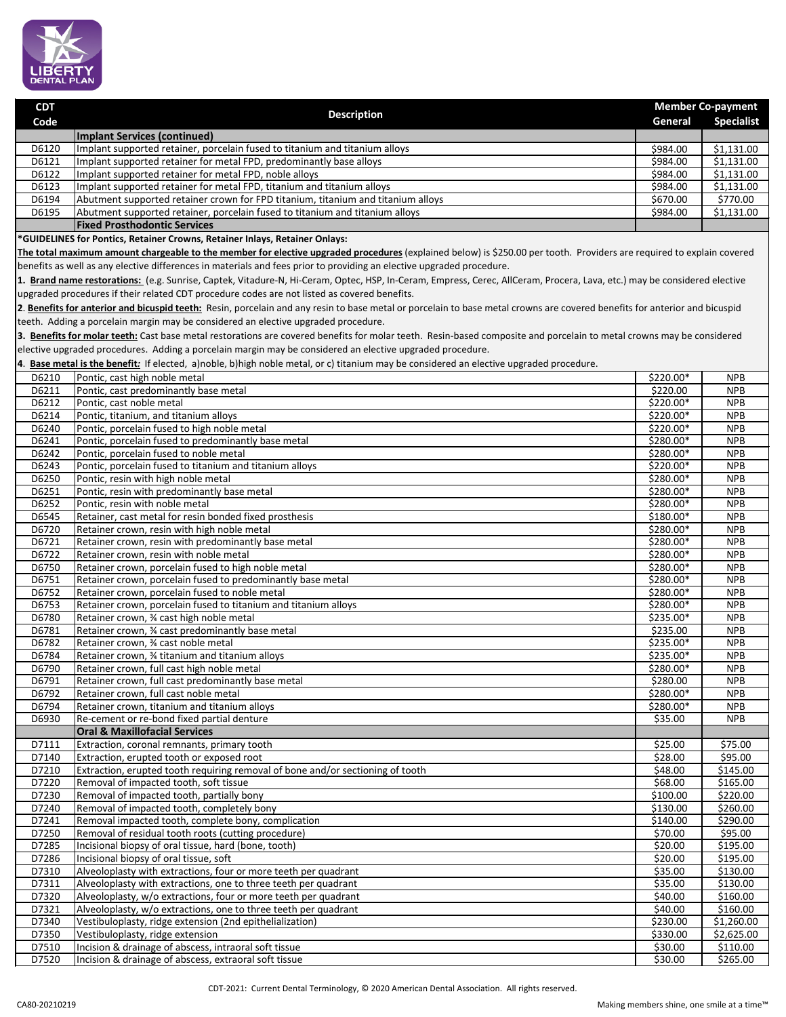

| <b>CDT</b> |                                                                                  | <b>Member Co-payment</b> |                   |
|------------|----------------------------------------------------------------------------------|--------------------------|-------------------|
| Code       | <b>Description</b>                                                               | General                  | <b>Specialist</b> |
|            | Implant Services (continued)                                                     |                          |                   |
| D6120      | Implant supported retainer, porcelain fused to titanium and titanium alloys      | \$984.00                 | \$1,131.00        |
| D6121      | Implant supported retainer for metal FPD, predominantly base alloys              | \$984.00                 | \$1,131.00        |
| D6122      | Implant supported retainer for metal FPD, noble alloys                           | \$984.00                 | \$1,131.00        |
| D6123      | Implant supported retainer for metal FPD, titanium and titanium alloys           | \$984.00                 | \$1,131.00        |
| D6194      | Abutment supported retainer crown for FPD titanium, titanium and titanium alloys | \$670.00                 | \$770.00          |
| D6195      | Abutment supported retainer, porcelain fused to titanium and titanium alloys     | \$984.00                 | \$1,131.00        |
|            | <b>Fixed Prosthodontic Services</b>                                              |                          |                   |

**\*GUIDELINES for Pontics, Retainer Crowns, Retainer Inlays, Retainer Onlays:**

**The total maximum amount chargeable to the member for elective upgraded procedures** (explained below) is \$250.00 per tooth. Providers are required to explain covered benefits as well as any elective differences in materials and fees prior to providing an elective upgraded procedure.

**1. Brand name restorations:** (e.g. Sunrise, Captek, Vitadure-N, Hi-Ceram, Optec, HSP, In-Ceram, Empress, Cerec, AllCeram, Procera, Lava, etc.) may be considered elective upgraded procedures if their related CDT procedure codes are not listed as covered benefits.

**2**. **Benefits for anterior and bicuspid teeth:** Resin, porcelain and any resin to base metal or porcelain to base metal crowns are covered benefits for anterior and bicuspid teeth. Adding a porcelain margin may be considered an elective upgraded procedure.

**3. Benefits for molar teeth:** Cast base metal restorations are covered benefits for molar teeth. Resin-based composite and porcelain to metal crowns may be considered elective upgraded procedures. Adding a porcelain margin may be considered an elective upgraded procedure.

**4**. **Base metal is the benefit***:* If elected, a)noble, b)high noble metal, or c) titanium may be considered an elective upgraded procedure.

| D6210 | Pontic, cast high noble metal                                                  | $$220.00*$          | <b>NPB</b> |
|-------|--------------------------------------------------------------------------------|---------------------|------------|
| D6211 | Pontic, cast predominantly base metal                                          | \$220.00            | <b>NPB</b> |
| D6212 | Pontic, cast noble metal                                                       | \$220.00*           | <b>NPB</b> |
| D6214 | Pontic, titanium, and titanium alloys                                          | \$220.00*           | <b>NPB</b> |
| D6240 | Pontic, porcelain fused to high noble metal                                    | $$220.00*$          | <b>NPB</b> |
| D6241 | Pontic, porcelain fused to predominantly base metal                            | \$280.00*           | <b>NPB</b> |
| D6242 | Pontic, porcelain fused to noble metal                                         | \$280.00*           | <b>NPB</b> |
| D6243 | Pontic, porcelain fused to titanium and titanium alloys                        | \$220.00*           | <b>NPB</b> |
| D6250 | Pontic, resin with high noble metal                                            | $$280.00*$          | <b>NPB</b> |
| D6251 | Pontic, resin with predominantly base metal                                    | \$280.00*           | <b>NPB</b> |
| D6252 | Pontic, resin with noble metal                                                 | $$280.00*$          | <b>NPB</b> |
| D6545 | Retainer, cast metal for resin bonded fixed prosthesis                         | \$180.00*           | <b>NPB</b> |
| D6720 | Retainer crown, resin with high noble metal                                    | \$280.00*           | <b>NPB</b> |
| D6721 | Retainer crown, resin with predominantly base metal                            | \$280.00*           | <b>NPB</b> |
| D6722 | Retainer crown, resin with noble metal                                         | \$280.00*           | <b>NPB</b> |
| D6750 | Retainer crown, porcelain fused to high noble metal                            | \$280.00*           | <b>NPB</b> |
| D6751 | Retainer crown, porcelain fused to predominantly base metal                    | \$280.00*           | <b>NPB</b> |
| D6752 | Retainer crown, porcelain fused to noble metal                                 | \$280.00*           | <b>NPB</b> |
| D6753 | Retainer crown, porcelain fused to titanium and titanium alloys                | \$280.00*           | <b>NPB</b> |
| D6780 | Retainer crown, 34 cast high noble metal                                       | \$235.00*           | <b>NPB</b> |
| D6781 | Retainer crown, 3⁄4 cast predominantly base metal                              | \$235.00            | <b>NPB</b> |
| D6782 | Retainer crown, % cast noble metal                                             | \$235.00*           | <b>NPB</b> |
| D6784 | Retainer crown, 3⁄4 titanium and titanium alloys                               | \$235.00*           | <b>NPB</b> |
| D6790 | Retainer crown, full cast high noble metal                                     | $$280.00*$          | <b>NPB</b> |
| D6791 | Retainer crown, full cast predominantly base metal                             | \$280.00            | <b>NPB</b> |
| D6792 | Retainer crown, full cast noble metal                                          | \$280.00*           | <b>NPB</b> |
| D6794 | Retainer crown, titanium and titanium alloys                                   | \$280.00*           | <b>NPB</b> |
| D6930 | Re-cement or re-bond fixed partial denture                                     | \$35.00             | <b>NPB</b> |
|       | <b>Oral &amp; Maxillofacial Services</b>                                       |                     |            |
| D7111 | Extraction, coronal remnants, primary tooth                                    | \$25.00             | \$75.00    |
| D7140 | Extraction, erupted tooth or exposed root                                      | \$28.00             | \$95.00    |
| D7210 | Extraction, erupted tooth requiring removal of bone and/or sectioning of tooth | \$48.00             | \$145.00   |
| D7220 | Removal of impacted tooth, soft tissue                                         | \$68.00             | \$165.00   |
| D7230 | Removal of impacted tooth, partially bony                                      | \$100.00            | \$220.00   |
| D7240 | Removal of impacted tooth, completely bony                                     | \$130.00            | \$260.00   |
| D7241 | Removal impacted tooth, complete bony, complication                            | \$140.00            | \$290.00   |
| D7250 | Removal of residual tooth roots (cutting procedure)                            | \$70.00             | \$95.00    |
| D7285 | Incisional biopsy of oral tissue, hard (bone, tooth)                           | \$20.00             | \$195.00   |
| D7286 | Incisional biopsy of oral tissue, soft                                         | \$20.00             | \$195.00   |
| D7310 | Alveoloplasty with extractions, four or more teeth per quadrant                | \$35.00             | \$130.00   |
| D7311 | Alveoloplasty with extractions, one to three teeth per quadrant                | \$35.00             | \$130.00   |
| D7320 | Alveoloplasty, w/o extractions, four or more teeth per quadrant                | \$40.00             | \$160.00   |
| D7321 | Alveoloplasty, w/o extractions, one to three teeth per quadrant                | \$40.00             | \$160.00   |
| D7340 | Vestibuloplasty, ridge extension (2nd epithelialization)                       | \$230.00            | \$1,260.00 |
| D7350 | Vestibuloplasty, ridge extension                                               | \$330.00            | \$2,625.00 |
| D7510 | Incision & drainage of abscess, intraoral soft tissue                          | $\overline{$}30.00$ | \$110.00   |
| D7520 | Incision & drainage of abscess, extraoral soft tissue                          | \$30.00             | \$265.00   |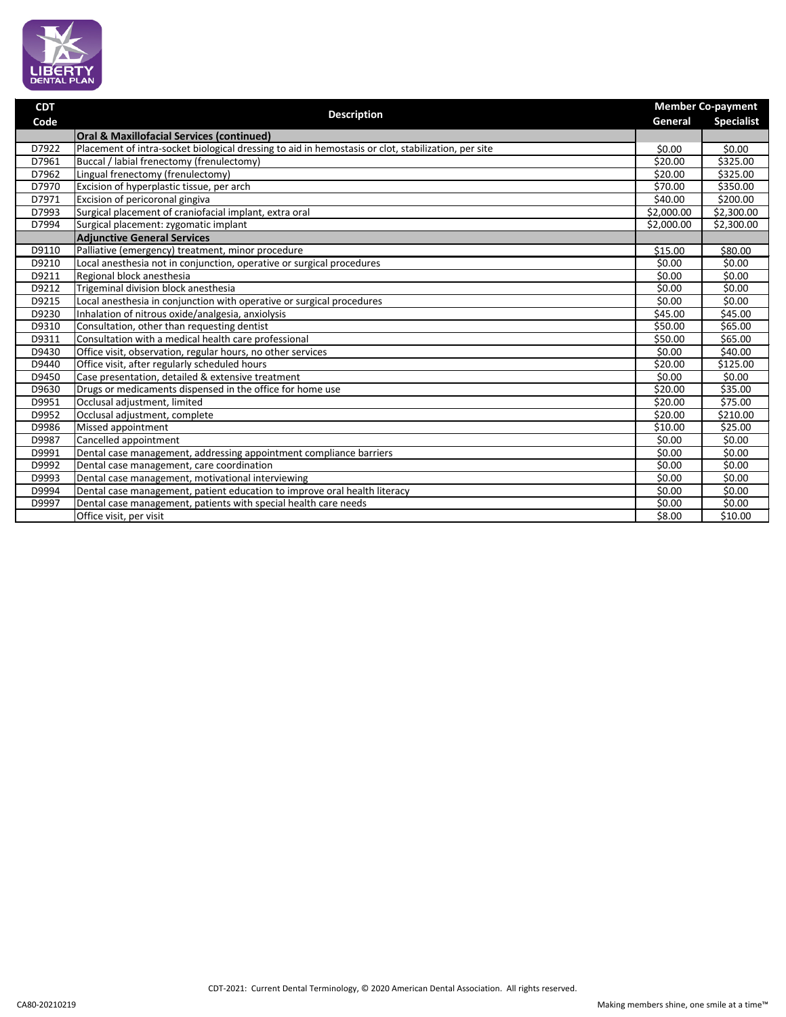

| <b>CDT</b> |                                                                                                     |                        | <b>Member Co-payment</b> |  |
|------------|-----------------------------------------------------------------------------------------------------|------------------------|--------------------------|--|
| Code       | <b>Description</b>                                                                                  | General                | <b>Specialist</b>        |  |
|            | <b>Oral &amp; Maxillofacial Services (continued)</b>                                                |                        |                          |  |
| D7922      | Placement of intra-socket biological dressing to aid in hemostasis or clot, stabilization, per site | \$0.00                 | \$0.00                   |  |
| D7961      | Buccal / labial frenectomy (frenulectomy)                                                           | \$20.00                | \$325.00                 |  |
| D7962      | Lingual frenectomy (frenulectomy)                                                                   | \$20.00                | \$325.00                 |  |
| D7970      | Excision of hyperplastic tissue, per arch                                                           | \$70.00                | \$350.00                 |  |
| D7971      | Excision of pericoronal gingiva                                                                     | \$40.00                | \$200.00                 |  |
| D7993      | Surgical placement of craniofacial implant, extra oral                                              | $\overline{$}2,000.00$ | \$2,300.00               |  |
| D7994      | Surgical placement: zygomatic implant                                                               | \$2,000.00             | \$2,300.00               |  |
|            | <b>Adjunctive General Services</b>                                                                  |                        |                          |  |
| D9110      | Palliative (emergency) treatment, minor procedure                                                   | \$15.00                | \$80.00                  |  |
| D9210      | Local anesthesia not in conjunction, operative or surgical procedures                               | \$0.00                 | \$0.00                   |  |
| D9211      | Regional block anesthesia                                                                           | \$0.00                 | \$0.00                   |  |
| D9212      | Trigeminal division block anesthesia                                                                | \$0.00                 | \$0.00                   |  |
| D9215      | Local anesthesia in conjunction with operative or surgical procedures                               | \$0.00                 | \$0.00                   |  |
| D9230      | Inhalation of nitrous oxide/analgesia, anxiolysis                                                   | \$45.00                | \$45.00                  |  |
| D9310      | Consultation, other than requesting dentist                                                         | \$50.00                | \$65.00                  |  |
| D9311      | Consultation with a medical health care professional                                                | \$50.00                | \$65.00                  |  |
| D9430      | Office visit, observation, regular hours, no other services                                         | \$0.00                 | \$40.00                  |  |
| D9440      | Office visit, after regularly scheduled hours                                                       | \$20.00                | \$125.00                 |  |
| D9450      | Case presentation, detailed & extensive treatment                                                   | \$0.00                 | \$0.00                   |  |
| D9630      | Drugs or medicaments dispensed in the office for home use                                           | \$20.00                | \$35.00                  |  |
| D9951      | Occlusal adjustment, limited                                                                        | \$20.00                | \$75.00                  |  |
| D9952      | Occlusal adjustment, complete                                                                       | \$20.00                | \$210.00                 |  |
| D9986      | Missed appointment                                                                                  | \$10.00                | \$25.00                  |  |
| D9987      | Cancelled appointment                                                                               | \$0.00                 | \$0.00                   |  |
| D9991      | Dental case management, addressing appointment compliance barriers                                  | \$0.00                 | \$0.00                   |  |
| D9992      | Dental case management, care coordination                                                           | \$0.00                 | \$0.00                   |  |
| D9993      | Dental case management, motivational interviewing                                                   | \$0.00                 | \$0.00                   |  |
| D9994      | Dental case management, patient education to improve oral health literacy                           | \$0.00                 | \$0.00                   |  |
| D9997      | Dental case management, patients with special health care needs                                     | \$0.00                 | \$0.00                   |  |
|            | Office visit, per visit                                                                             | \$8.00                 | \$10.00                  |  |

Making members shine, one smile at a time™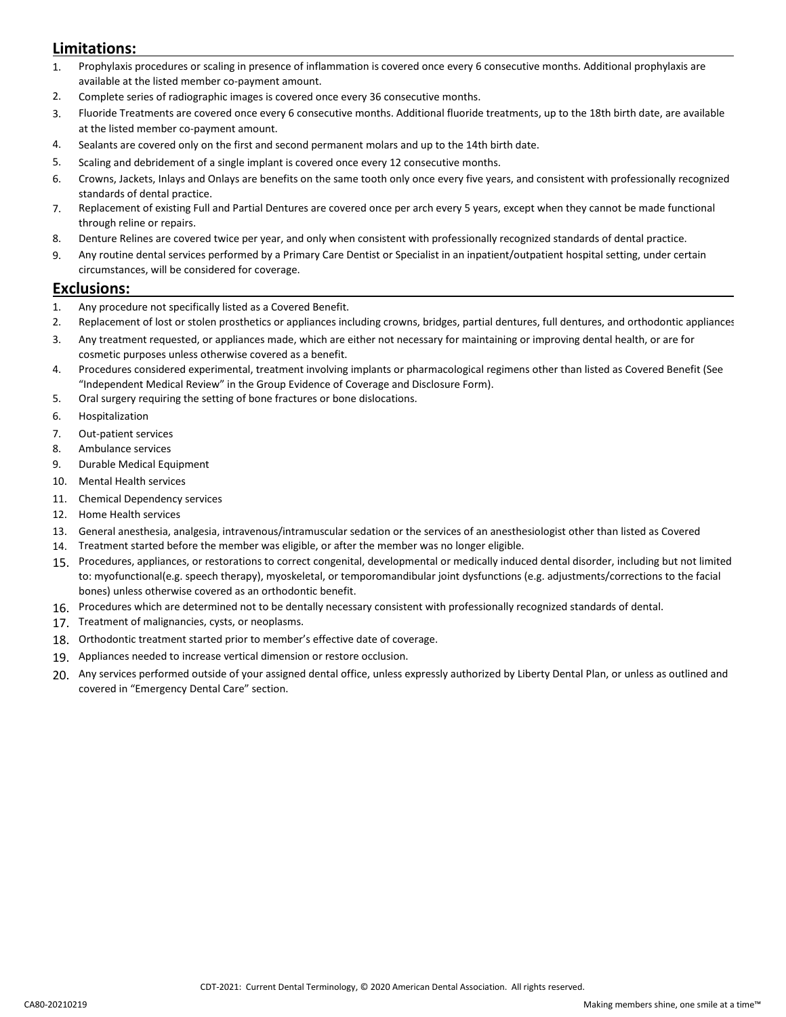## **Limitations:**

- 1. Prophylaxis procedures or scaling in presence of inflammation is covered once every 6 consecutive months. Additional prophylaxis are available at the listed member co-payment amount.
- 2. Complete series of radiographic images is covered once every 36 consecutive months.
- 3. Fluoride Treatments are covered once every 6 consecutive months. Additional fluoride treatments, up to the 18th birth date, are available at the listed member co-payment amount.
- 4. Sealants are covered only on the first and second permanent molars and up to the 14th birth date.
- 5. Scaling and debridement of a single implant is covered once every 12 consecutive months.
- 6. Crowns, Jackets, Inlays and Onlays are benefits on the same tooth only once every five years, and consistent with professionally recognized standards of dental practice.
- 7. Replacement of existing Full and Partial Dentures are covered once per arch every 5 years, except when they cannot be made functional through reline or repairs.
- 8. Denture Relines are covered twice per year, and only when consistent with professionally recognized standards of dental practice.
- 9. Any routine dental services performed by a Primary Care Dentist or Specialist in an inpatient/outpatient hospital setting, under certain circumstances, will be considered for coverage.

#### **Exclusions:**

- 1. Any procedure not specifically listed as a Covered Benefit.
- 2. Replacement of lost or stolen prosthetics or appliances including crowns, bridges, partial dentures, full dentures, and orthodontic appliances
- 3. Any treatment requested, or appliances made, which are either not necessary for maintaining or improving dental health, or are for cosmetic purposes unless otherwise covered as a benefit.
- 4. Procedures considered experimental, treatment involving implants or pharmacological regimens other than listed as Covered Benefit (See "Independent Medical Review" in the Group Evidence of Coverage and Disclosure Form).
- 5. Oral surgery requiring the setting of bone fractures or bone dislocations.
- 6. Hospitalization
- 7. Out-patient services
- 8. Ambulance services
- 9. Durable Medical Equipment
- 10. Mental Health services
- 11. Chemical Dependency services
- 12. Home Health services
- 13. General anesthesia, analgesia, intravenous/intramuscular sedation or the services of an anesthesiologist other than listed as Covered
- 14. Treatment started before the member was eligible, or after the member was no longer eligible.
- 15. Procedures, appliances, or restorations to correct congenital, developmental or medically induced dental disorder, including but not limited to: myofunctional(e.g. speech therapy), myoskeletal, or temporomandibular joint dysfunctions (e.g. adjustments/corrections to the facial bones) unless otherwise covered as an orthodontic benefit.
- 16. Procedures which are determined not to be dentally necessary consistent with professionally recognized standards of dental.
- 17. Treatment of malignancies, cysts, or neoplasms.
- 18. Orthodontic treatment started prior to member's effective date of coverage.
- 19. Appliances needed to increase vertical dimension or restore occlusion.
- 20. Any services performed outside of your assigned dental office, unless expressly authorized by Liberty Dental Plan, or unless as outlined and covered in "Emergency Dental Care" section.